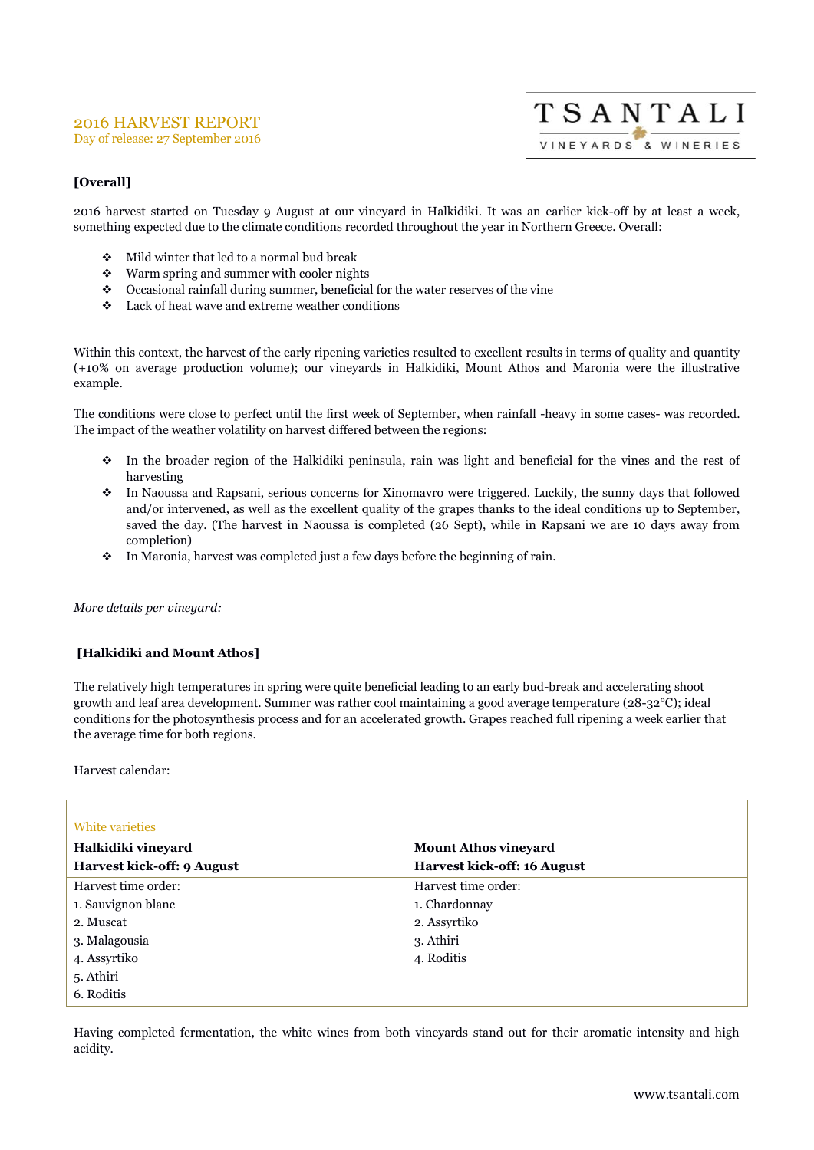# 2016 HARVEST REPORT

Day of release: 27 September 2016



## **[Overall]**

2016 harvest started on Tuesday 9 August at our vineyard in Halkidiki. It was an earlier kick-off by at least a week, something expected due to the climate conditions recorded throughout the year in Northern Greece. Overall:

- $\div$  Mild winter that led to a normal bud break
- Warm spring and summer with cooler nights
- Occasional rainfall during summer, beneficial for the water reserves of the vine
- Lack of heat wave and extreme weather conditions

Within this context, the harvest of the early ripening varieties resulted to excellent results in terms of quality and quantity (+10% on average production volume); our vineyards in Halkidiki, Mount Athos and Maronia were the illustrative example.

The conditions were close to perfect until the first week of September, when rainfall -heavy in some cases- was recorded. The impact of the weather volatility on harvest differed between the regions:

- In the broader region of the Halkidiki peninsula, rain was light and beneficial for the vines and the rest of harvesting
- In Naoussa and Rapsani, serious concerns for Xinomavro were triggered. Luckily, the sunny days that followed and/or intervened, as well as the excellent quality of the grapes thanks to the ideal conditions up to September, saved the day. (The harvest in Naoussa is completed (26 Sept), while in Rapsani we are 10 days away from completion)
- In Maronia, harvest was completed just a few days before the beginning of rain.

#### *More details per vineyard:*

### **[Halkidiki and Mount Athos]**

The relatively high temperatures in spring were quite beneficial leading to an early bud-break and accelerating shoot growth and leaf area development. Summer was rather cool maintaining a good average temperature (28-32°C); ideal conditions for the photosynthesis process and for an accelerated growth. Grapes reached full ripening a week earlier that the average time for both regions.

#### Harvest calendar:

| White varieties            |                             |  |
|----------------------------|-----------------------------|--|
| Halkidiki vineyard         | <b>Mount Athos vineyard</b> |  |
| Harvest kick-off: 9 August | Harvest kick-off: 16 August |  |
| Harvest time order:        | Harvest time order:         |  |
| 1. Sauvignon blanc         | 1. Chardonnay               |  |
| 2. Muscat                  | 2. Assyrtiko                |  |
| 3. Malagousia              | 3. Athiri                   |  |
| 4. Assyrtiko               | 4. Roditis                  |  |
| 5. Athiri                  |                             |  |
| 6. Roditis                 |                             |  |

Having completed fermentation, the white wines from both vineyards stand out for their aromatic intensity and high acidity.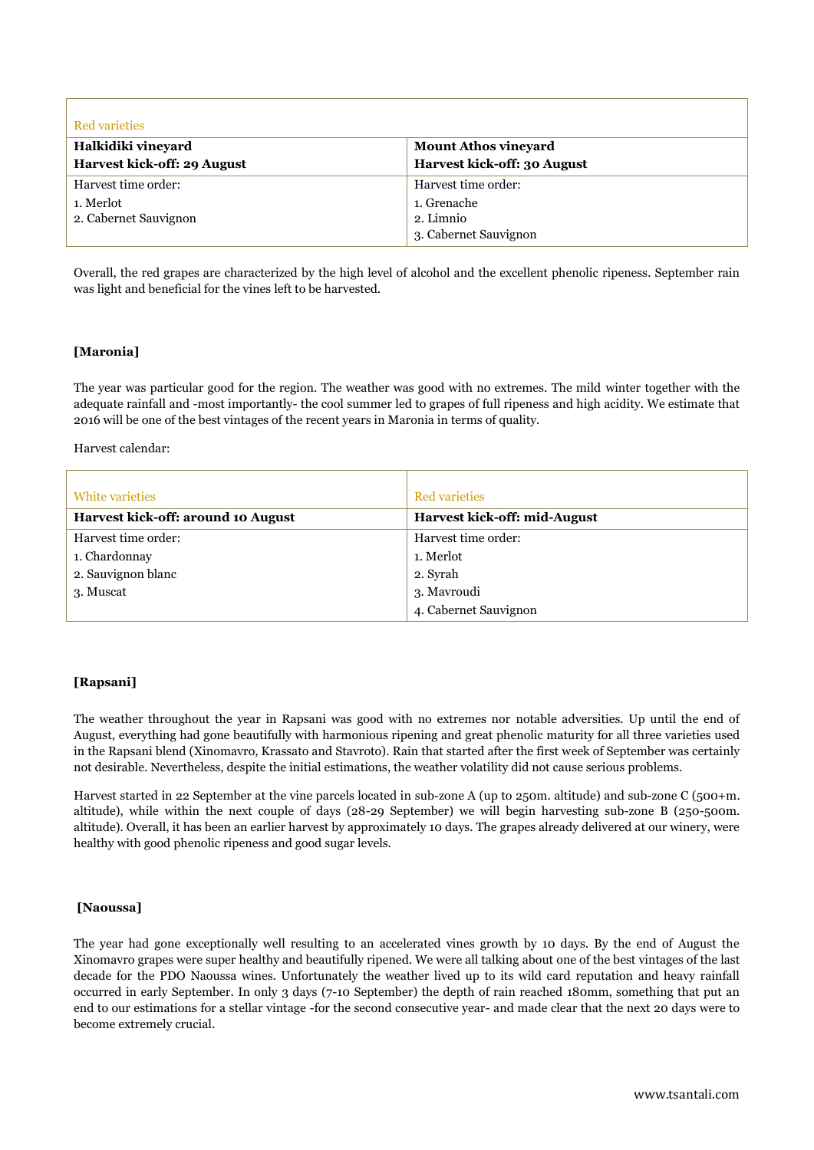| <b>Red varieties</b>        |                             |
|-----------------------------|-----------------------------|
| Halkidiki vineyard          | <b>Mount Athos vineyard</b> |
| Harvest kick-off: 29 August | Harvest kick-off: 30 August |
| Harvest time order:         | Harvest time order:         |
| 1. Merlot                   | 1. Grenache                 |
| 2. Cabernet Sauvignon       | 2. Limnio                   |
|                             | 3. Cabernet Sauvignon       |

Overall, the red grapes are characterized by the high level of alcohol and the excellent phenolic ripeness. September rain was light and beneficial for the vines left to be harvested.

#### **[Maronia]**

The year was particular good for the region. The weather was good with no extremes. The mild winter together with the adequate rainfall and -most importantly- the cool summer led to grapes of full ripeness and high acidity. We estimate that 2016 will be one of the best vintages of the recent years in Maronia in terms of quality.

Harvest calendar:

| White varieties                    | <b>Red varieties</b>         |
|------------------------------------|------------------------------|
| Harvest kick-off: around 10 August | Harvest kick-off: mid-August |
| Harvest time order:                | Harvest time order:          |
| 1. Chardonnay                      | 1. Merlot                    |
| 2. Sauvignon blanc                 | 2. Syrah                     |
| 3. Muscat                          | 3. Mavroudi                  |
|                                    | 4. Cabernet Sauvignon        |

### **[Rapsani]**

The weather throughout the year in Rapsani was good with no extremes nor notable adversities. Up until the end of August, everything had gone beautifully with harmonious ripening and great phenolic maturity for all three varieties used in the Rapsani blend (Xinomavro, Krassato and Stavroto). Rain that started after the first week of September was certainly not desirable. Nevertheless, despite the initial estimations, the weather volatility did not cause serious problems.

Harvest started in 22 September at the vine parcels located in sub-zone A (up to 250m. altitude) and sub-zone C (500+m. altitude), while within the next couple of days (28-29 September) we will begin harvesting sub-zone B (250-500m. altitude). Overall, it has been an earlier harvest by approximately 10 days. The grapes already delivered at our winery, were healthy with good phenolic ripeness and good sugar levels.

#### **[Naoussa]**

The year had gone exceptionally well resulting to an accelerated vines growth by 10 days. By the end of August the Xinomavro grapes were super healthy and beautifully ripened. We were all talking about one of the best vintages of the last decade for the PDO Naoussa wines. Unfortunately the weather lived up to its wild card reputation and heavy rainfall occurred in early September. In only 3 days (7-10 September) the depth of rain reached 180mm, something that put an end to our estimations for a stellar vintage -for the second consecutive year- and made clear that the next 20 days were to become extremely crucial.